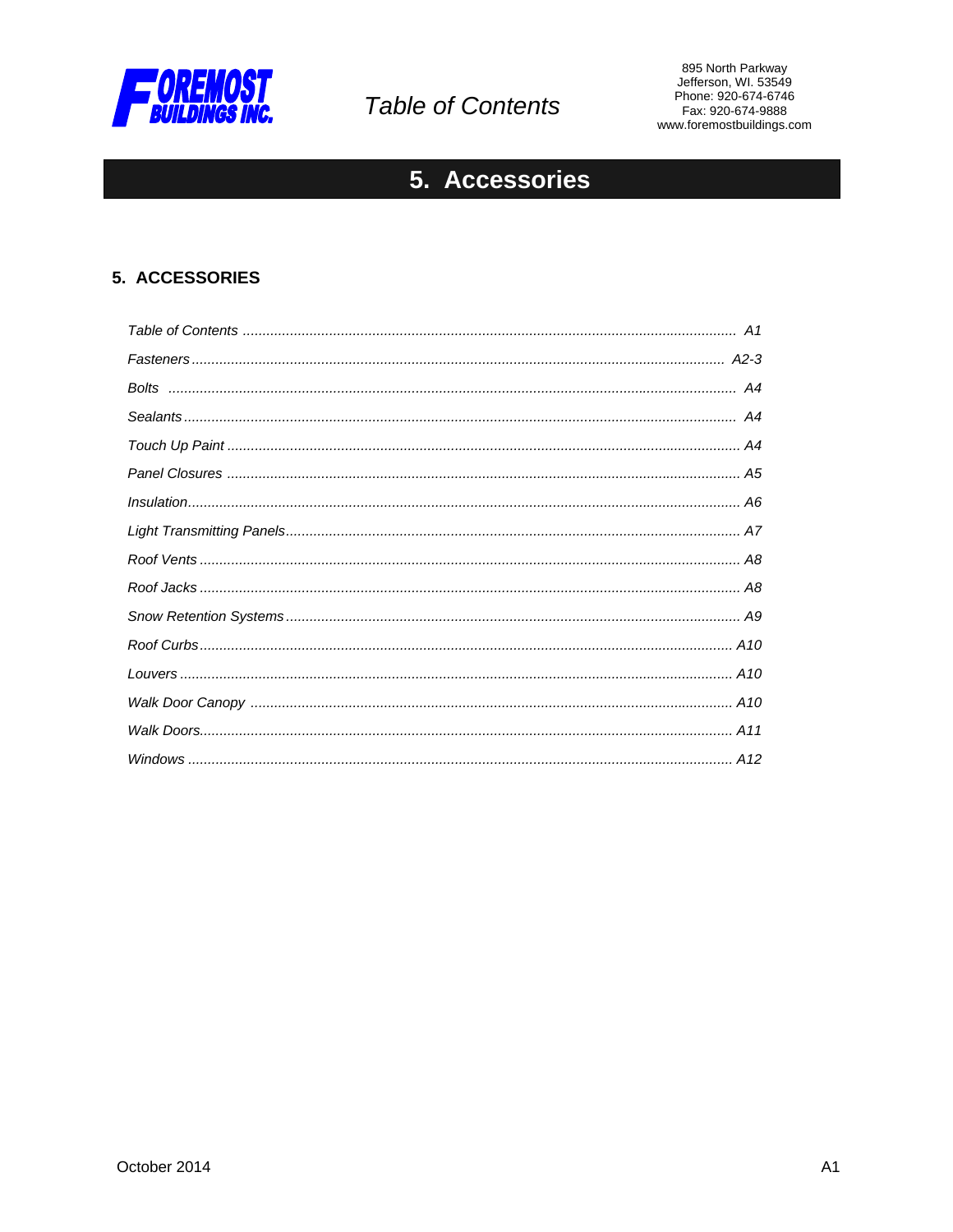

# **Table of Contents**

895 North Parkway<br>Jefferson, WI. 53549 Phone: 920-674-6746 Fax: 920-674-9888 www.foremostbuildings.com

## 5. Accessories

### 5. ACCESSORIES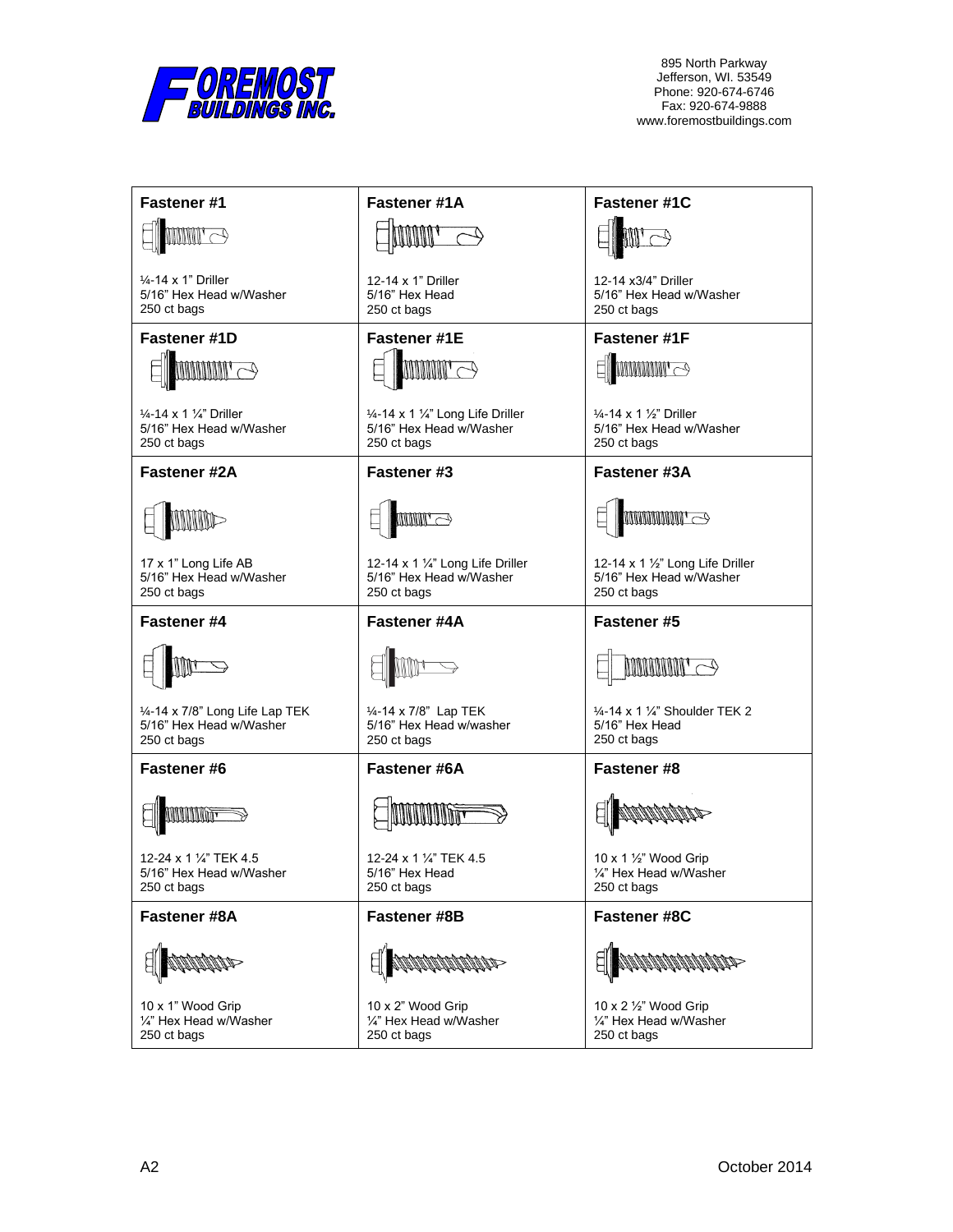

| Fastener #1                                                                             | Fastener #1A                                                                          | Fastener #1C                                                                            |
|-----------------------------------------------------------------------------------------|---------------------------------------------------------------------------------------|-----------------------------------------------------------------------------------------|
| $\mathbb{H} \mathbb{H}$ $\Rightarrow$                                                   |                                                                                       |                                                                                         |
| $\frac{1}{4}$ -14 x 1" Driller<br>5/16" Hex Head w/Washer<br>250 ct bags                | 12-14 x 1" Driller<br>5/16" Hex Head<br>250 ct bags                                   | 12-14 x3/4" Driller<br>5/16" Hex Head w/Washer<br>250 ct bags                           |
| Fastener #1D                                                                            | <b>Fastener #1E</b>                                                                   | <b>Fastener #1F</b>                                                                     |
| $\text{minmin} \geq$                                                                    | <b>MMMIN</b>                                                                          | <b>MMMMMI</b>                                                                           |
| $\frac{1}{4}$ -14 x 1 $\frac{1}{4}$ " Driller<br>5/16" Hex Head w/Washer<br>250 ct bags | 1/4-14 x 1 1/4" Long Life Driller<br>5/16" Hex Head w/Washer<br>250 ct bags           | $\frac{1}{4}$ -14 x 1 $\frac{1}{2}$ " Driller<br>5/16" Hex Head w/Washer<br>250 ct bags |
| <b>Fastener #2A</b>                                                                     | Fastener #3                                                                           | Fastener #3A                                                                            |
| <b>MINIMO-</b>                                                                          | <b>MMIL</b>                                                                           | <b>MMMMMMINI</b>                                                                        |
| 17 x 1" Long Life AB<br>5/16" Hex Head w/Washer<br>250 ct bags                          | 12-14 x 1 $\frac{1}{4}$ " Long Life Driller<br>5/16" Hex Head w/Washer<br>250 ct bags | 12-14 x 1 $\frac{1}{2}$ " Long Life Driller<br>5/16" Hex Head w/Washer<br>250 ct bags   |
| Fastener #4                                                                             | Fastener #4A                                                                          | Fastener #5                                                                             |
|                                                                                         |                                                                                       | <b>MMMMM</b>                                                                            |
| 1/4-14 x 7/8" Long Life Lap TEK<br>5/16" Hex Head w/Washer<br>250 ct bags               | 1/ <sub>4</sub> -14 x 7/8" Lap TEK<br>5/16" Hex Head w/washer<br>250 ct bags          | 1/4-14 x 1 1/4" Shoulder TEK 2<br>5/16" Hex Head<br>250 ct bags                         |
| <b>Fastener #6</b>                                                                      | Fastener #6A                                                                          | Fastener #8                                                                             |
|                                                                                         |                                                                                       |                                                                                         |
| 12-24 x 1 1/4" TEK 4.5<br>5/16" Hex Head w/Washer                                       | 12-24 x 1 1/4" TEK 4.5<br>5/16" Hex Head                                              | 10 x 1 1/2" Wood Grip<br>1/4" Hex Head w/Washer                                         |
| 250 ct bags                                                                             | 250 ct bags                                                                           | 250 ct bags                                                                             |
| Fastener #8A                                                                            | Fastener #8B                                                                          | <b>Fastener #8C</b>                                                                     |
|                                                                                         |                                                                                       |                                                                                         |
| 10 x 1" Wood Grip<br>1/4" Hex Head w/Washer<br>250 ct bags                              | 10 x 2" Wood Grip<br>1/4" Hex Head w/Washer<br>250 ct bags                            | 10 x 2 1/2" Wood Grip<br>1/4" Hex Head w/Washer<br>250 ct bags                          |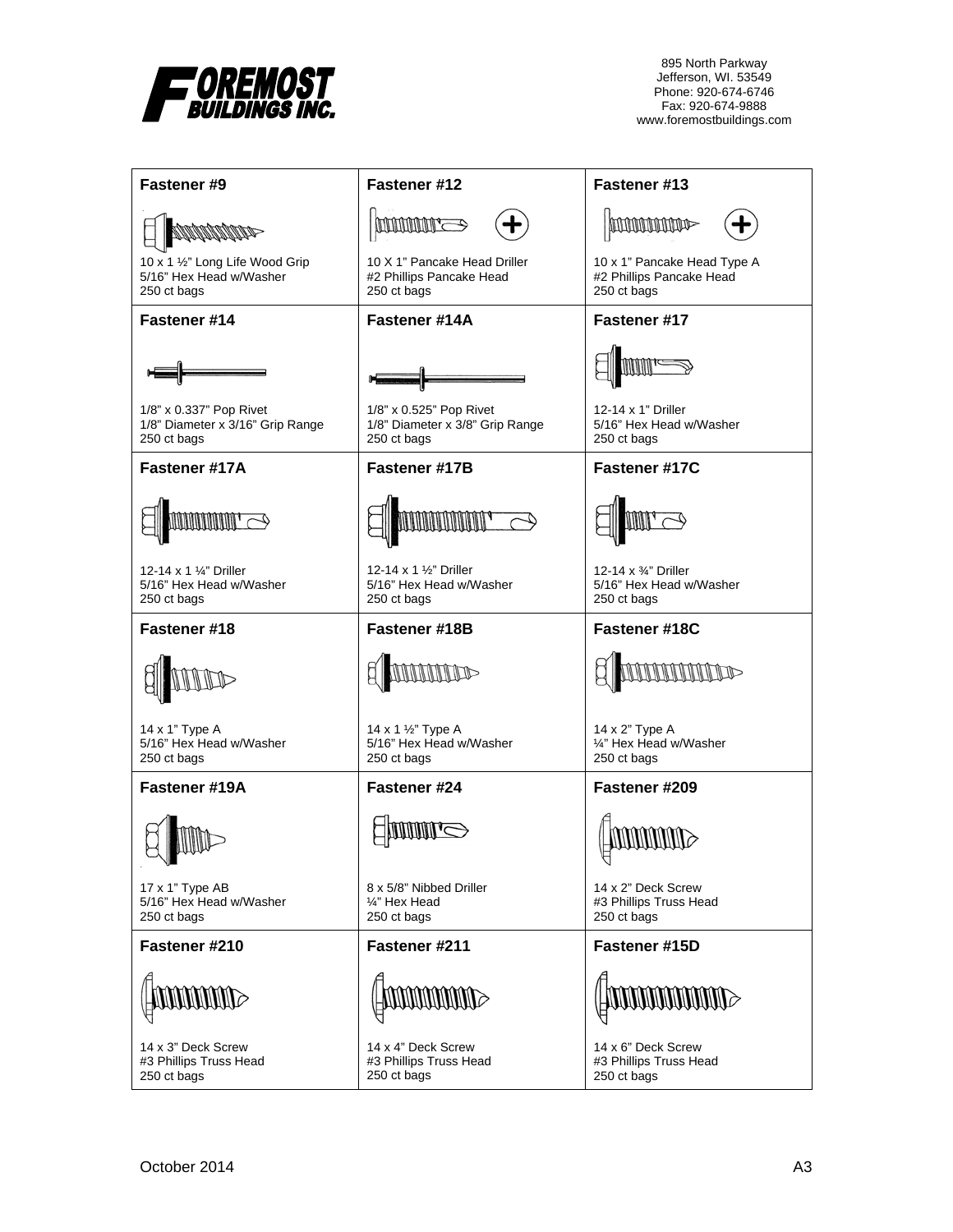

| <b>Fastener #9</b>                                                         | Fastener #12                                                                                                                                                                                                                                                                                                                                                                                                                           | Fastener #13                                                           |
|----------------------------------------------------------------------------|----------------------------------------------------------------------------------------------------------------------------------------------------------------------------------------------------------------------------------------------------------------------------------------------------------------------------------------------------------------------------------------------------------------------------------------|------------------------------------------------------------------------|
| <b>MANAMATAS</b>                                                           | <b>MANAMAR</b>                                                                                                                                                                                                                                                                                                                                                                                                                         | <b>hommonie</b>                                                        |
| 10 x 1 1/2" Long Life Wood Grip<br>5/16" Hex Head w/Washer<br>250 ct bags  | 10 X 1" Pancake Head Driller<br>#2 Phillips Pancake Head<br>250 ct bags                                                                                                                                                                                                                                                                                                                                                                | 10 x 1" Pancake Head Type A<br>#2 Phillips Pancake Head<br>250 ct bags |
| Fastener #14                                                               | Fastener #14A                                                                                                                                                                                                                                                                                                                                                                                                                          | Fastener #17                                                           |
|                                                                            |                                                                                                                                                                                                                                                                                                                                                                                                                                        |                                                                        |
| 1/8" x 0.337" Pop Rivet<br>1/8" Diameter x 3/16" Grip Range<br>250 ct bags | 1/8" x 0.525" Pop Rivet<br>1/8" Diameter x 3/8" Grip Range<br>250 ct bags                                                                                                                                                                                                                                                                                                                                                              | 12-14 x 1" Driller<br>5/16" Hex Head w/Washer<br>250 ct bags           |
| Fastener #17A                                                              | <b>Fastener #17B</b>                                                                                                                                                                                                                                                                                                                                                                                                                   | Fastener #17C                                                          |
| <b>MMMMM</b>                                                               | <b>UNINUMINITI</b>                                                                                                                                                                                                                                                                                                                                                                                                                     |                                                                        |
| 12-14 x 1 1/4" Driller<br>5/16" Hex Head w/Washer<br>250 ct bags           | 12-14 x 1 1/2" Driller<br>5/16" Hex Head w/Washer<br>250 ct bags                                                                                                                                                                                                                                                                                                                                                                       | 12-14 x 3/4" Driller<br>5/16" Hex Head w/Washer<br>250 ct bags         |
| Fastener #18                                                               | Fastener #18B                                                                                                                                                                                                                                                                                                                                                                                                                          | Fastener #18C                                                          |
|                                                                            |                                                                                                                                                                                                                                                                                                                                                                                                                                        |                                                                        |
| 14 x 1" Type A<br>5/16" Hex Head w/Washer<br>250 ct bags                   | 14 x 1 1/2" Type A<br>5/16" Hex Head w/Washer<br>250 ct bags                                                                                                                                                                                                                                                                                                                                                                           | 14 x 2" Type A<br>1/4" Hex Head w/Washer<br>250 ct bags                |
| Fastener #19A                                                              | Fastener #24                                                                                                                                                                                                                                                                                                                                                                                                                           | Fastener #209                                                          |
|                                                                            |                                                                                                                                                                                                                                                                                                                                                                                                                                        |                                                                        |
| 17 x 1" Type AB<br>5/16" Hex Head w/Washer<br>250 ct bags                  | 8 x 5/8" Nibbed Driller<br>1/4" Hex Head<br>250 ct bags                                                                                                                                                                                                                                                                                                                                                                                | 14 x 2" Deck Screw<br>#3 Phillips Truss Head<br>250 ct bags            |
| Fastener #210                                                              | Fastener #211                                                                                                                                                                                                                                                                                                                                                                                                                          | Fastener #15D                                                          |
| <b>ANDINAL SERVICE</b>                                                     | $\textcolor{blue}{\textbf{1000000}} \begin{tabular}{l} \textbf{0} & \textbf{0} & \textbf{0} & \textbf{0} \\ \textbf{0} & \textbf{0} & \textbf{0} & \textbf{0} \\ \textbf{0} & \textbf{0} & \textbf{0} & \textbf{0} \\ \textbf{0} & \textbf{0} & \textbf{0} & \textbf{0} \\ \textbf{0} & \textbf{0} & \textbf{0} & \textbf{0} \\ \textbf{0} & \textbf{0} & \textbf{0} & \textbf{0} \\ \textbf{0} & \textbf{0} & \textbf{0} & \textbf{0$ | <b>SUNTANAMENTO</b>                                                    |
| 14 x 3" Deck Screw<br>#3 Phillips Truss Head<br>250 ct bags                | 14 x 4" Deck Screw<br>#3 Phillips Truss Head<br>250 ct bags                                                                                                                                                                                                                                                                                                                                                                            | 14 x 6" Deck Screw<br>#3 Phillips Truss Head<br>250 ct bags            |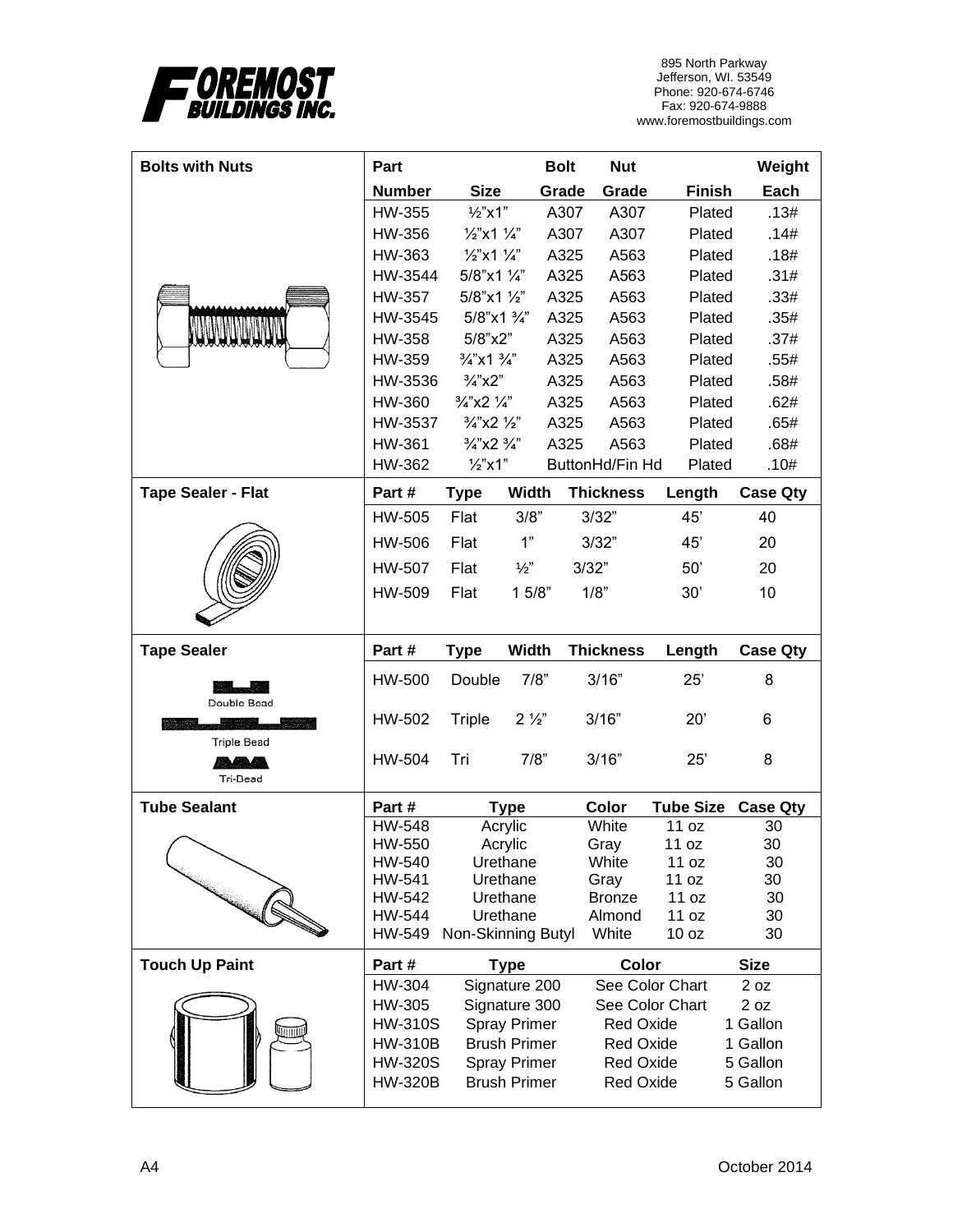

| <b>Bolts with Nuts</b>    | Part                             |                                   | <b>Bolt</b>                                | <b>Nut</b>                    |                  | Weight               |
|---------------------------|----------------------------------|-----------------------------------|--------------------------------------------|-------------------------------|------------------|----------------------|
|                           | <b>Number</b>                    | <b>Size</b>                       | Grade                                      | Grade                         | <b>Finish</b>    | Each                 |
|                           | HW-355                           | $1/2$ "x1"                        |                                            | A307<br>A307                  | Plated           | .13#                 |
|                           | HW-356                           | $\frac{1}{2}$ x1 $\frac{1}{4}$ "  |                                            | A307<br>A307                  | Plated           | .14#                 |
|                           | HW-363                           | $\frac{1}{2}$ x1 $\frac{1}{4}$ "  |                                            | A563<br>A325                  | Plated           | .18#                 |
|                           | HW-3544                          | 5/8"x1 1/4"                       |                                            | A563<br>A325                  | Plated           | .31#                 |
|                           | HW-357                           | 5/8"x1 1/2"                       |                                            | A325<br>A563                  | Plated           | .33#                 |
|                           | HW-3545                          | 5/8"x1 3/4"                       |                                            | A325<br>A563                  | Plated           | .35#                 |
|                           | <b>HW-358</b>                    | 5/8"x2"                           |                                            | A325<br>A563                  | Plated           | .37#                 |
|                           | HW-359                           | $\frac{3}{4}$ "x1 $\frac{3}{4}$ " |                                            | A563<br>A325                  | Plated           | .55#                 |
|                           | HW-3536                          | $\frac{3}{4}$ "x2"                |                                            | A325<br>A563                  | Plated           | .58#                 |
|                           | <b>HW-360</b>                    | $\frac{3}{4}$ "x2 $\frac{1}{4}$ " |                                            | A325<br>A563                  | Plated           | .62#                 |
|                           | HW-3537                          | $\frac{3}{4}$ "x2 $\frac{1}{2}$ " |                                            | A563<br>A325                  | Plated           | .65#                 |
|                           | <b>HW-361</b>                    | $\frac{3}{4}$ "x2 $\frac{3}{4}$ " |                                            | A325<br>A563                  | Plated           | .68#                 |
|                           | HW-362                           | $\frac{1}{2}$ x1"                 |                                            | ButtonHd/Fin Hd               | Plated           | .10#                 |
|                           |                                  |                                   |                                            |                               |                  |                      |
| <b>Tape Sealer - Flat</b> | Part#                            | <b>Type</b>                       | Width                                      | <b>Thickness</b>              | Length           | <b>Case Qty</b>      |
|                           | HW-505                           | Flat                              | 3/8"                                       | 3/32"                         | 45'              | 40                   |
|                           | HW-506                           | Flat                              | 1"                                         | 3/32"                         | 45'              | 20                   |
|                           | <b>HW-507</b>                    | Flat<br>$\frac{1}{2}$             |                                            | 3/32"                         | 50'              | 20                   |
|                           | HW-509                           | Flat                              | 15/8"                                      | 1/8"                          | 30'              | 10                   |
|                           |                                  |                                   |                                            |                               |                  |                      |
|                           |                                  |                                   |                                            |                               |                  |                      |
|                           |                                  |                                   |                                            |                               |                  |                      |
| <b>Tape Sealer</b>        | Part #                           | <b>Type</b>                       | <b>Width</b>                               | <b>Thickness</b>              | Length           | <b>Case Qty</b>      |
|                           | <b>HW-500</b>                    | Double                            | 7/8"                                       | 3/16"                         | 25'              | 8                    |
| Double Bead               | HW-502                           | <b>Triple</b>                     | $2\frac{1}{2}$                             | 3/16"                         | 20'              | 6                    |
| <b>Triple Bead</b>        |                                  |                                   |                                            |                               |                  |                      |
| <b>Anaga</b>              | <b>HW-504</b>                    | Tri                               | 7/8"                                       | 3/16"                         | 25'              | 8                    |
| Tri-Bead                  |                                  |                                   |                                            |                               |                  |                      |
| <b>Tube Sealant</b>       | Part #                           |                                   | <b>Type</b>                                | Color                         | <b>Tube Size</b> | <b>Case Qty</b>      |
|                           | <b>HW-548</b>                    |                                   | Acrylic                                    | White                         | 11 oz            | 30                   |
|                           | HW-550                           |                                   | Acrylic                                    | Gray                          | 11 oz            | 30                   |
|                           | HW-540                           |                                   | Urethane                                   | White                         | 11 oz            | 30                   |
|                           | HW-541                           |                                   | Urethane                                   | Gray                          | 11 oz            | 30                   |
|                           | HW-542                           |                                   | Urethane                                   | <b>Bronze</b>                 | 11 oz            | 30                   |
|                           | HW-544                           |                                   | Urethane                                   | Almond                        | 11 oz            | 30                   |
|                           | HW-549                           | Non-Skinning Butyl                |                                            | White                         | 10 oz            | 30                   |
| <b>Touch Up Paint</b>     | Part#                            |                                   | <b>Type</b>                                | Color                         |                  | <b>Size</b>          |
|                           | HW-304                           |                                   | Signature 200                              |                               | See Color Chart  | 2 oz                 |
|                           | HW-305                           |                                   | Signature 300                              |                               | See Color Chart  | 2 oz                 |
|                           | <b>HW-310S</b>                   |                                   | <b>Spray Primer</b>                        | <b>Red Oxide</b>              |                  | 1 Gallon             |
|                           | <b>HW-310B</b>                   |                                   | <b>Brush Primer</b>                        | <b>Red Oxide</b>              |                  | 1 Gallon             |
|                           | <b>HW-320S</b><br><b>HW-320B</b> |                                   | <b>Spray Primer</b><br><b>Brush Primer</b> | <b>Red Oxide</b><br>Red Oxide |                  | 5 Gallon<br>5 Gallon |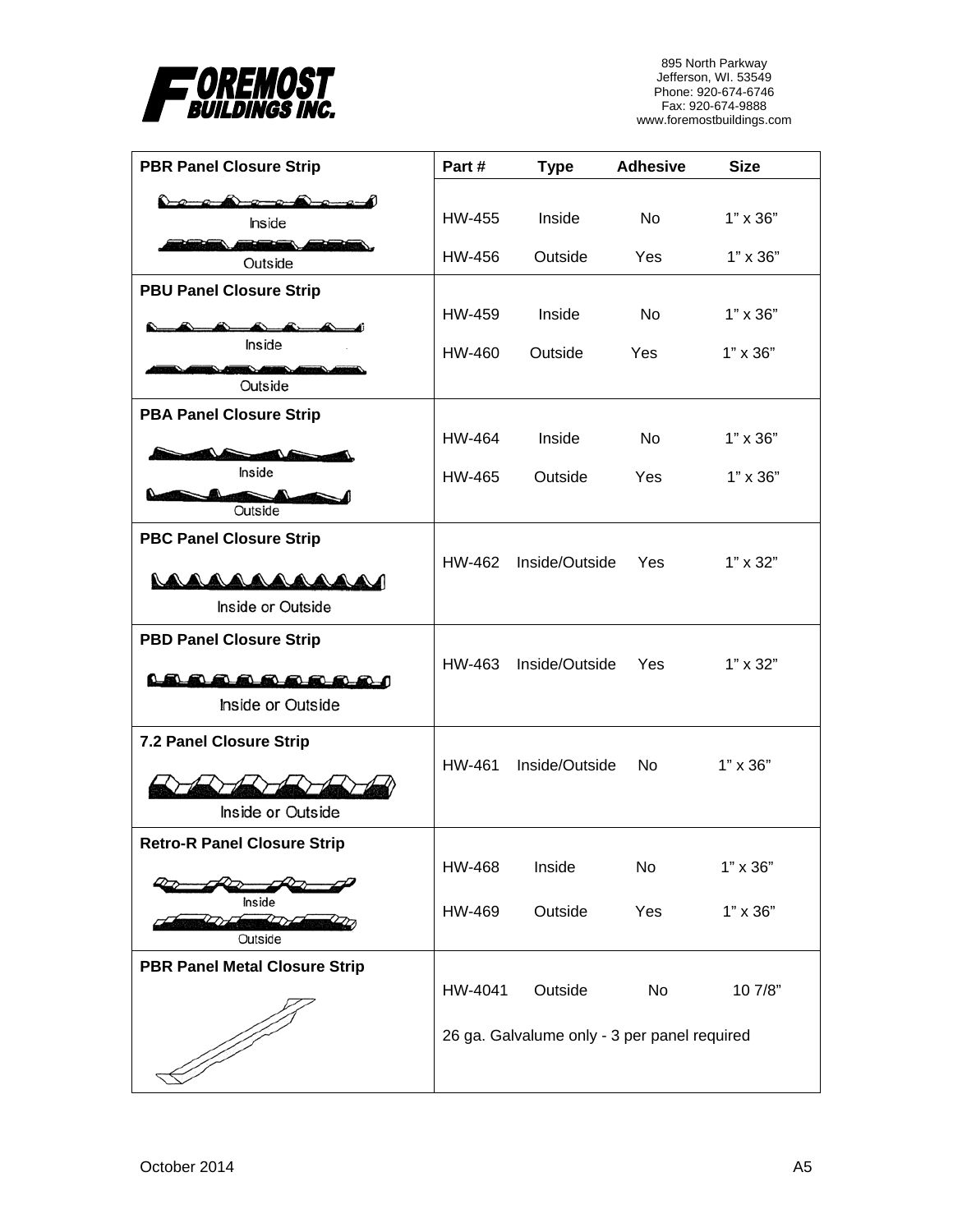

| <b>PBR Panel Closure Strip</b>                                    | Part#   | <b>Type</b>                                             | <b>Adhesive</b> | <b>Size</b>     |
|-------------------------------------------------------------------|---------|---------------------------------------------------------|-----------------|-----------------|
| Inside                                                            | HW-455  | Inside                                                  | <b>No</b>       | $1" \times 36"$ |
| 26<br>Outside                                                     | HW-456  | Outside                                                 | Yes             | $1" \times 36"$ |
| <b>PBU Panel Closure Strip</b>                                    | HW-459  | Inside                                                  | No.             | $1" \times 36"$ |
| Inside                                                            | HW-460  | Outside                                                 | Yes             | $1" \times 36"$ |
| Outside                                                           |         |                                                         |                 |                 |
| <b>PBA Panel Closure Strip</b>                                    | HW-464  | Inside                                                  | <b>No</b>       | $1" \times 36"$ |
| Inside<br>Outside                                                 | HW-465  | Outside                                                 | Yes             | $1" \times 36"$ |
| <b>PBC Panel Closure Strip</b><br>AAAAAAAAAA<br>Inside or Outside | HW-462  | Inside/Outside                                          | Yes             | $1" \times 32"$ |
| <b>PBD Panel Closure Strip</b><br>LAAAAAAAAA<br>Inside or Outside | HW-463  | Inside/Outside                                          | Yes             | $1" \times 32"$ |
| 7.2 Panel Closure Strip<br>Inside or Outside                      | HW-461  | Inside/Outside                                          | No.             | $1" \times 36"$ |
| <b>Retro-R Panel Closure Strip</b>                                | HW-468  | Inside                                                  | No              | $1" \times 36"$ |
| Inside<br>╱<br>Outside                                            | HW-469  | Outside                                                 | Yes             | $1" \times 36"$ |
| <b>PBR Panel Metal Closure Strip</b>                              |         |                                                         |                 |                 |
|                                                                   | HW-4041 | Outside<br>26 ga. Galvalume only - 3 per panel required | No              | 10 7/8"         |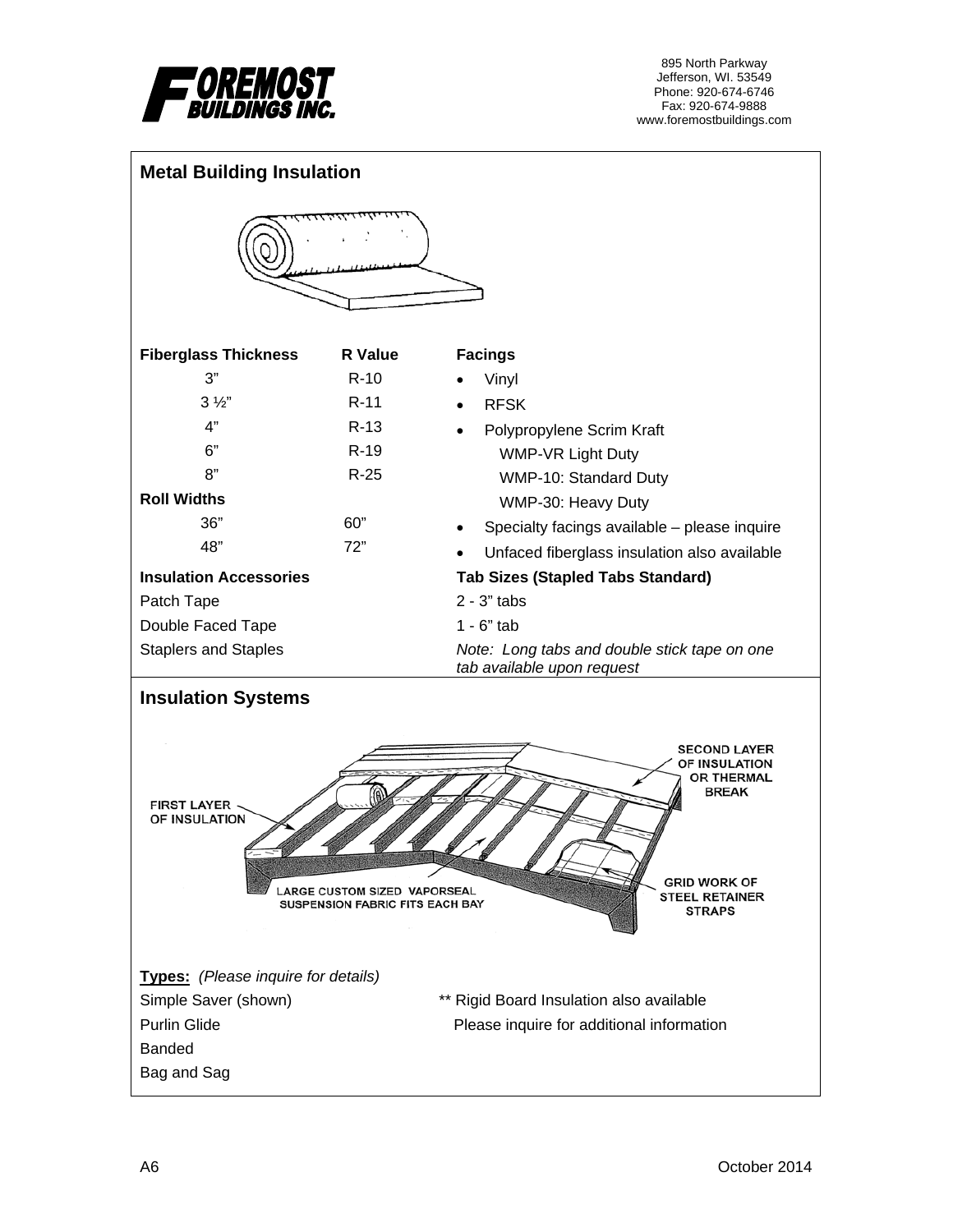

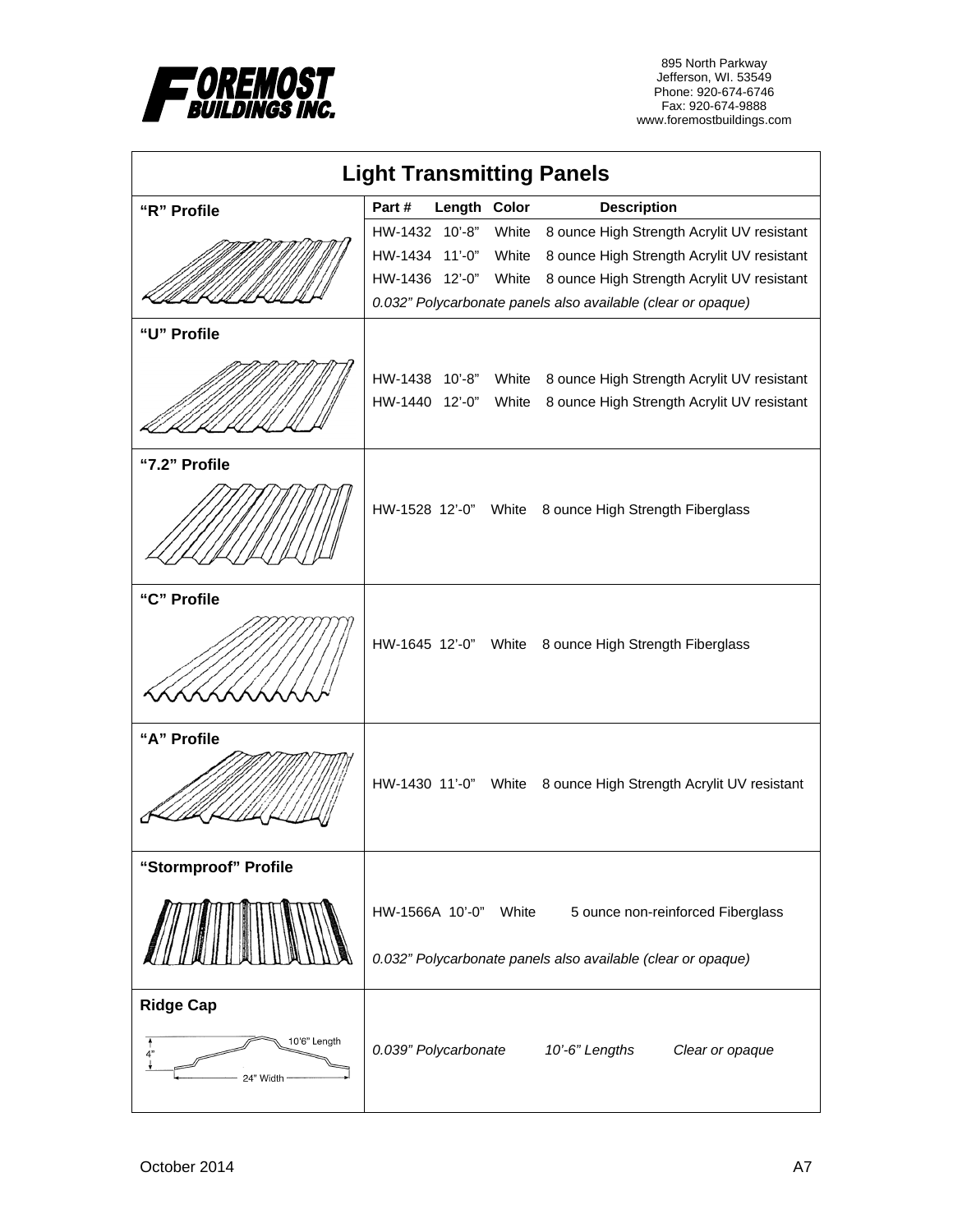

| <b>Light Transmitting Panels</b>                    |                       |              |       |                                                                                                   |  |  |
|-----------------------------------------------------|-----------------------|--------------|-------|---------------------------------------------------------------------------------------------------|--|--|
| "R" Profile                                         | Part#                 | Length Color |       | <b>Description</b>                                                                                |  |  |
|                                                     | HW-1432 10'-8"        |              | White | 8 ounce High Strength Acrylit UV resistant                                                        |  |  |
|                                                     | HW-1434 11'-0"        |              | White | 8 ounce High Strength Acrylit UV resistant                                                        |  |  |
|                                                     | HW-1436 12'-0"        |              | White | 8 ounce High Strength Acrylit UV resistant                                                        |  |  |
|                                                     |                       |              |       | 0.032" Polycarbonate panels also available (clear or opaque)                                      |  |  |
| "U" Profile                                         |                       |              |       |                                                                                                   |  |  |
|                                                     | HW-1438 10'-8" White  |              |       | 8 ounce High Strength Acrylit UV resistant                                                        |  |  |
|                                                     | HW-1440 12'-0"        |              | White | 8 ounce High Strength Acrylit UV resistant                                                        |  |  |
|                                                     |                       |              |       |                                                                                                   |  |  |
| "7.2" Profile                                       |                       |              |       |                                                                                                   |  |  |
|                                                     |                       |              |       | HW-1528 12'-0" White 8 ounce High Strength Fiberglass                                             |  |  |
| "C" Profile                                         |                       |              |       | HW-1645 12'-0" White 8 ounce High Strength Fiberglass                                             |  |  |
|                                                     |                       |              |       |                                                                                                   |  |  |
| "A" Profile                                         |                       |              |       | HW-1430 11'-0" White 8 ounce High Strength Acrylit UV resistant                                   |  |  |
| "Stormproof" Profile                                |                       |              |       |                                                                                                   |  |  |
|                                                     | HW-1566A 10'-0" White |              |       | 5 ounce non-reinforced Fiberglass<br>0.032" Polycarbonate panels also available (clear or opaque) |  |  |
| <b>Ridge Cap</b><br>10'6" Length<br>4"<br>24" Width | 0.039" Polycarbonate  |              |       | 10'-6" Lengths<br>Clear or opaque                                                                 |  |  |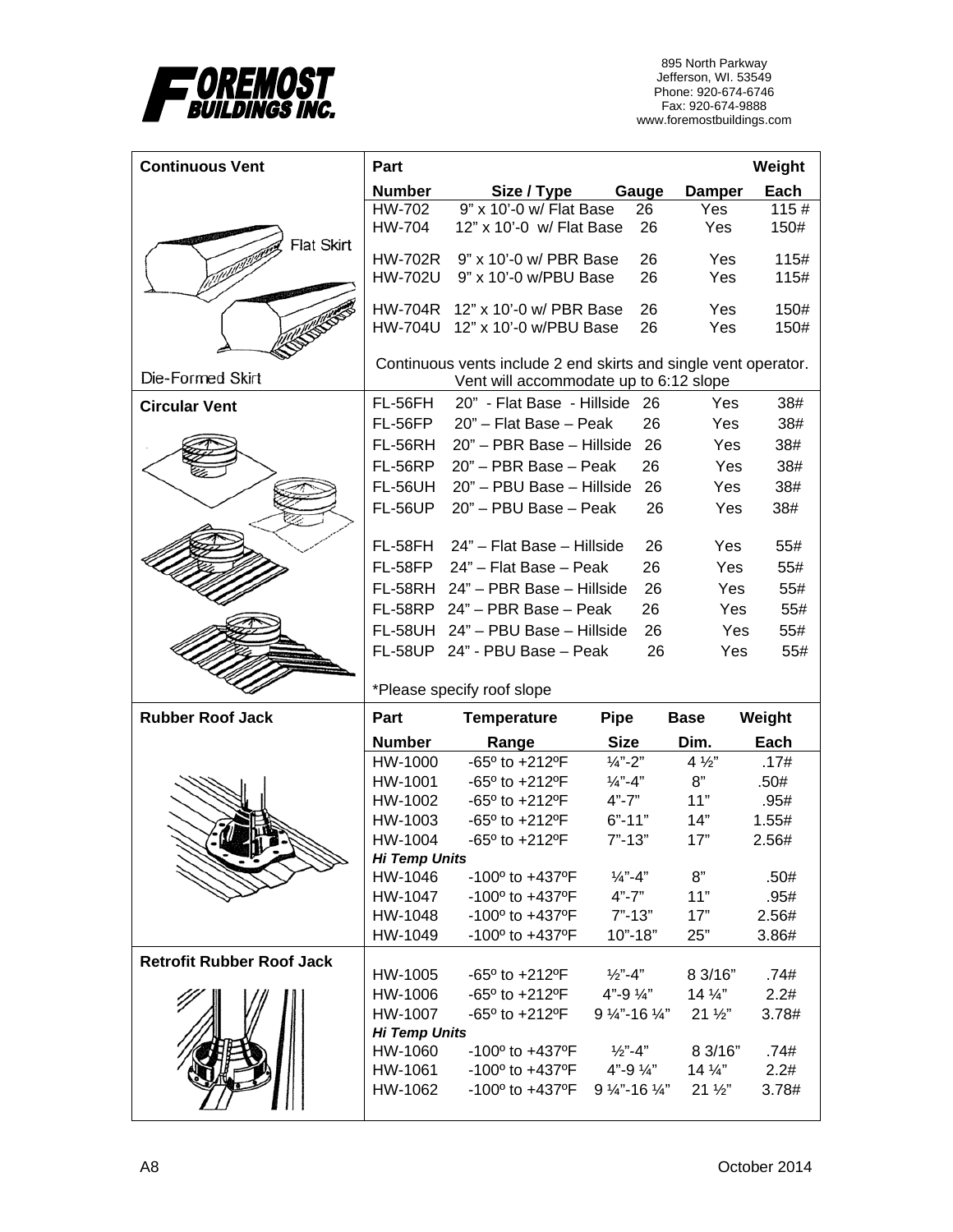

| <b>Continuous Vent</b>           | Part                 |                                                                        |                                                            |                                    | Weight        |
|----------------------------------|----------------------|------------------------------------------------------------------------|------------------------------------------------------------|------------------------------------|---------------|
|                                  | <b>Number</b>        | Size / Type                                                            | Gauge                                                      | <b>Damper</b>                      | Each          |
|                                  | HW-702               | 9" x 10'-0 w/ Flat Base                                                | 26                                                         | Yes                                | 115#          |
| Flat Skirt                       | <b>HW-704</b>        | 12" x 10'-0 w/ Flat Base                                               | 26                                                         | Yes                                | 150#          |
|                                  | <b>HW-702R</b>       | 9" x 10'-0 w/ PBR Base                                                 | 26                                                         | Yes                                | 115#          |
|                                  | <b>HW-702U</b>       | 9" x 10'-0 w/PBU Base                                                  | 26                                                         | Yes                                | 115#          |
|                                  | HW-704R              | 12" x 10'-0 w/ PBR Base                                                | 26                                                         | Yes                                | 150#          |
|                                  | <b>HW-704U</b>       | 12" x 10'-0 w/PBU Base                                                 | 26                                                         | Yes                                | 150#          |
|                                  |                      |                                                                        |                                                            |                                    |               |
|                                  |                      | Continuous vents include 2 end skirts and single vent operator.        |                                                            |                                    |               |
| Die-Formed Skirt                 |                      | Vent will accommodate up to 6:12 slope                                 |                                                            |                                    |               |
| <b>Circular Vent</b>             | FL-56FH              | 20" - Flat Base - Hillside 26                                          |                                                            | Yes                                | 38#           |
|                                  | FL-56FP              | 20" - Flat Base - Peak                                                 | 26                                                         | Yes                                | 38#           |
|                                  | FL-56RH              | 20" - PBR Base - Hillside                                              | 26                                                         | Yes                                | 38#           |
|                                  | FL-56RP              | 20" - PBR Base - Peak                                                  | 26                                                         | Yes                                | 38#           |
|                                  | <b>FL-56UH</b>       | 20" - PBU Base - Hillside                                              | 26                                                         | Yes                                | 38#           |
|                                  | <b>FL-56UP</b>       | 20" - PBU Base - Peak                                                  | 26                                                         | Yes                                | 38#           |
|                                  | FL-58FH              | 24" - Flat Base - Hillside                                             | 26                                                         | Yes                                | 55#           |
|                                  | FL-58FP              | 24" - Flat Base - Peak                                                 | 26                                                         | Yes                                | 55#           |
|                                  | FL-58RH              | 24" - PBR Base - Hillside                                              | 26                                                         | Yes                                | 55#           |
|                                  | FL-58RP              | 24" - PBR Base - Peak                                                  | 26                                                         | Yes                                | 55#           |
|                                  | FL-58UH              | 24" - PBU Base - Hillside                                              | 26                                                         | Yes                                | 55#           |
|                                  |                      | FL-58UP 24" - PBU Base - Peak                                          | 26                                                         | Yes                                | 55#           |
|                                  |                      |                                                                        |                                                            |                                    |               |
|                                  |                      | *Please specify roof slope                                             |                                                            |                                    |               |
| <b>Rubber Roof Jack</b>          | Part                 | <b>Temperature</b>                                                     | <b>Pipe</b>                                                | <b>Base</b>                        | Weight        |
|                                  | <b>Number</b>        | Range                                                                  | <b>Size</b>                                                | Dim.                               | Each          |
|                                  | HW-1000              | $-65^{\circ}$ to $+212^{\circ}F$                                       | $1/4" - 2"$                                                | $4\frac{1}{2}$                     | .17#          |
|                                  | HW-1001              | $-65^{\circ}$ to $+212^{\circ}F$                                       | $\frac{1}{4}$ "-4"                                         | 8"                                 | .50#          |
|                                  | HW-1002              | $-65^{\circ}$ to $+212^{\circ}F$                                       | $4" - 7"$                                                  | 11"                                | .95#          |
|                                  | HW-1003              | $-65^{\circ}$ to $+212^{\circ}F$                                       | $6" - 11"$                                                 | 14"                                | 1.55#         |
|                                  | HW-1004              | $-65^{\circ}$ to $+212^{\circ}F$                                       | $7" - 13"$                                                 | 17"                                | 2.56#         |
|                                  | <b>Hi Temp Units</b> |                                                                        |                                                            |                                    |               |
|                                  | HW-1046<br>HW-1047   | $-100^{\circ}$ to $+437^{\circ}F$<br>-100° to +437°F                   | $\frac{1}{4}$ –4"<br>$4" - 7"$                             | 8"<br>11"                          | .50#<br>.95#  |
|                                  | HW-1048              | -100° to +437°F                                                        | $7" - 13"$                                                 | 17"                                | 2.56#         |
|                                  | HW-1049              | -100° to +437°F                                                        | $10" - 18"$                                                | 25"                                | 3.86#         |
|                                  |                      |                                                                        |                                                            |                                    |               |
| <b>Retrofit Rubber Roof Jack</b> | HW-1005              | $-65^{\circ}$ to $+212^{\circ}F$                                       | $\frac{1}{2}$ "-4"                                         | 8 3/16"                            | .74#          |
|                                  | HW-1006              | $-65^{\circ}$ to $+212^{\circ}F$                                       | $4" - 9 \%$                                                | $14\frac{1}{4}$                    | 2.2#          |
|                                  | HW-1007              | -65° to +212°F                                                         | $9\frac{1}{4}$ -16 $\frac{1}{4}$ "                         | $21\frac{1}{2}$                    | 3.78#         |
|                                  | <b>Hi Temp Units</b> |                                                                        |                                                            |                                    |               |
|                                  | HW-1060              | -100° to +437°F                                                        | $\frac{1}{2}$ "-4"                                         | 8 3/16"                            | .74#          |
|                                  |                      |                                                                        |                                                            |                                    |               |
|                                  | HW-1061<br>HW-1062   | $-100^{\circ}$ to $+437^{\circ}F$<br>$-100^{\circ}$ to $+437^{\circ}F$ | 4"-9 $\frac{1}{4}$ "<br>$9\frac{1}{4}$ -16 $\frac{1}{4}$ " | $14\frac{1}{4}$<br>$21\frac{1}{2}$ | 2.2#<br>3.78# |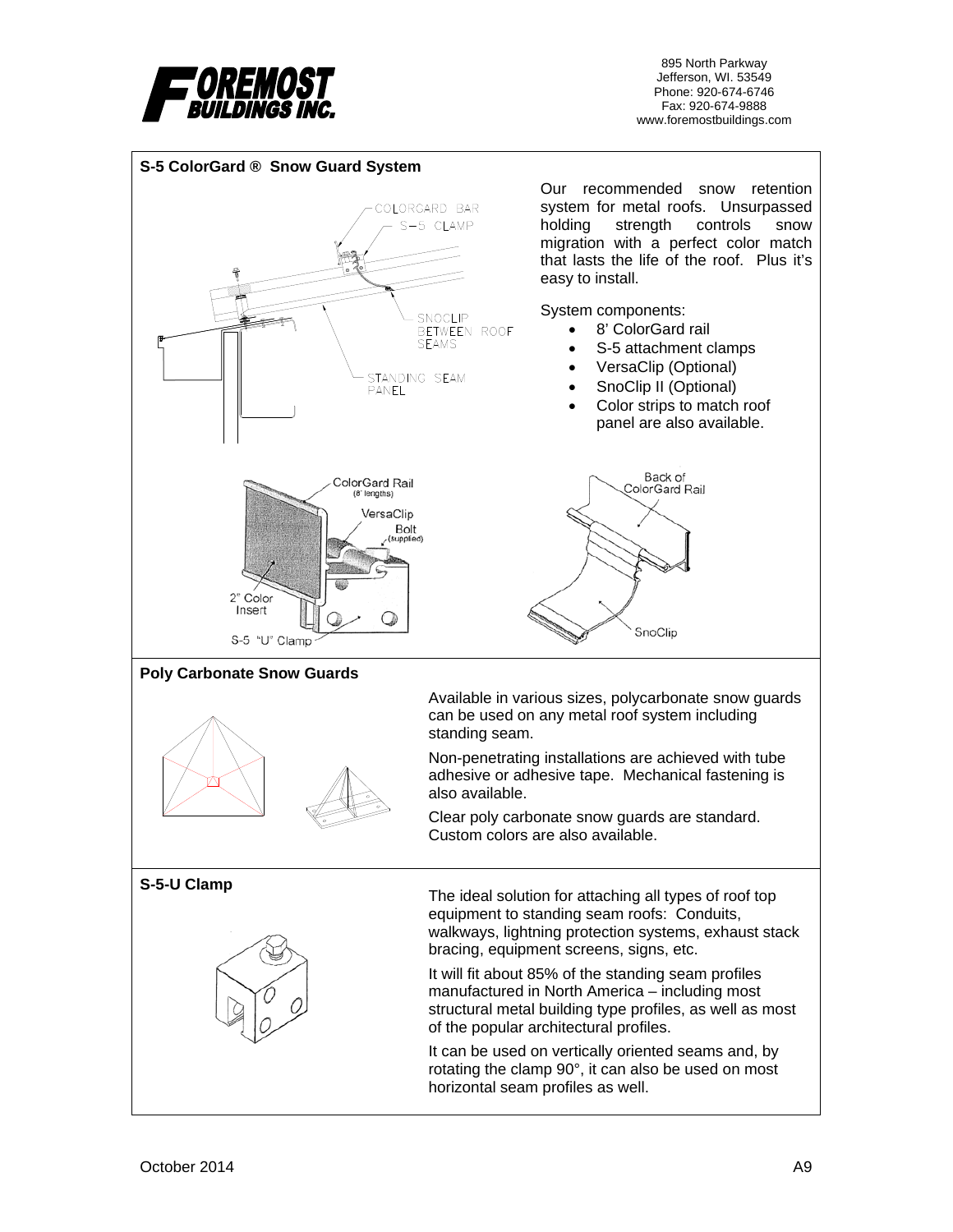

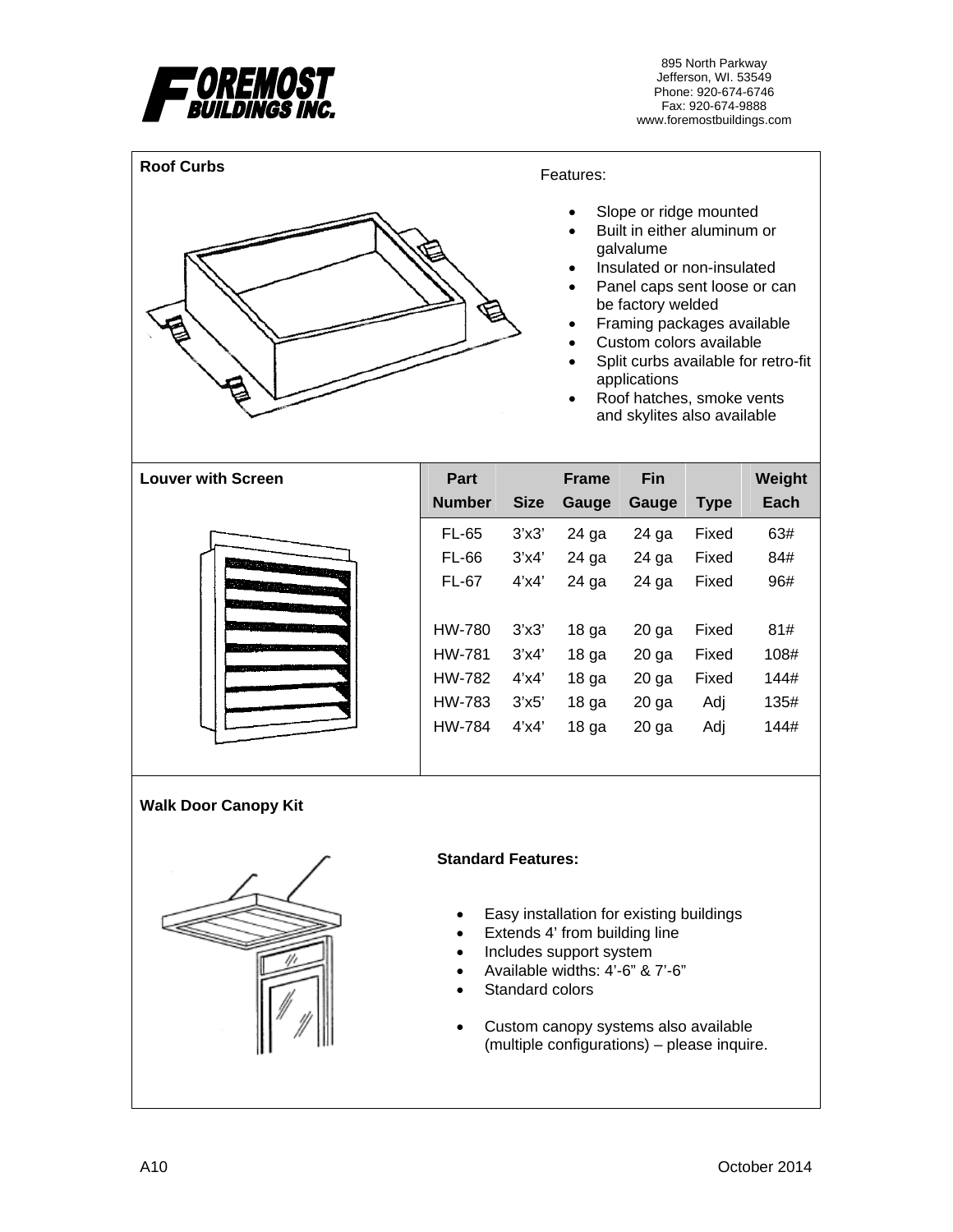



### Features:

- Slope or ridge mounted
- Built in either aluminum or galvalume
- Insulated or non-insulated
- Panel caps sent loose or can be factory welded
- Framing packages available
- Custom colors available
- Split curbs available for retro-fit applications
- Roof hatches, smoke vents and skylites also available

| <b>Louver with Screen</b> | Part          |             | <b>Frame</b>     | Fin     |             | Weight |
|---------------------------|---------------|-------------|------------------|---------|-------------|--------|
|                           | <b>Number</b> | <b>Size</b> | Gauge            | Gauge   | <b>Type</b> | Each   |
|                           | <b>FL-65</b>  | 3'x3'       | 24 ga            | 24 ga   | Fixed       | 63#    |
|                           | <b>FL-66</b>  | 3'x4'       | 24 ga            | 24 ga   | Fixed       | 84#    |
|                           | <b>FL-67</b>  | $4'$ x $4'$ | 24 ga            | 24 ga   | Fixed       | 96#    |
| <u> Andrew Maria (</u>    |               |             |                  |         |             |        |
| tro digionizmo.           | HW-780        | 3'x3'       | 18 <sub>ga</sub> | $20$ ga | Fixed       | 81#    |
|                           | HW-781        | 3'x4'       | 18 <sub>ga</sub> | $20$ ga | Fixed       | 108#   |
|                           | HW-782        | $4'$ x $4'$ | 18 <sub>ga</sub> | $20$ ga | Fixed       | 144#   |
|                           | HW-783        | 3'x5'       | 18 <sub>ga</sub> | $20$ ga | Adj         | 135#   |
|                           | HW-784        | 4'x4'       | 18 <sub>ga</sub> | $20$ ga | Adj         | 144#   |
|                           |               |             |                  |         |             |        |

**Walk Door Canopy Kit** 



#### **Standard Features:**

- Easy installation for existing buildings
- Extends 4' from building line
- Includes support system
- Available widths: 4'-6" & 7'-6"
- Standard colors
- Custom canopy systems also available (multiple configurations) – please inquire.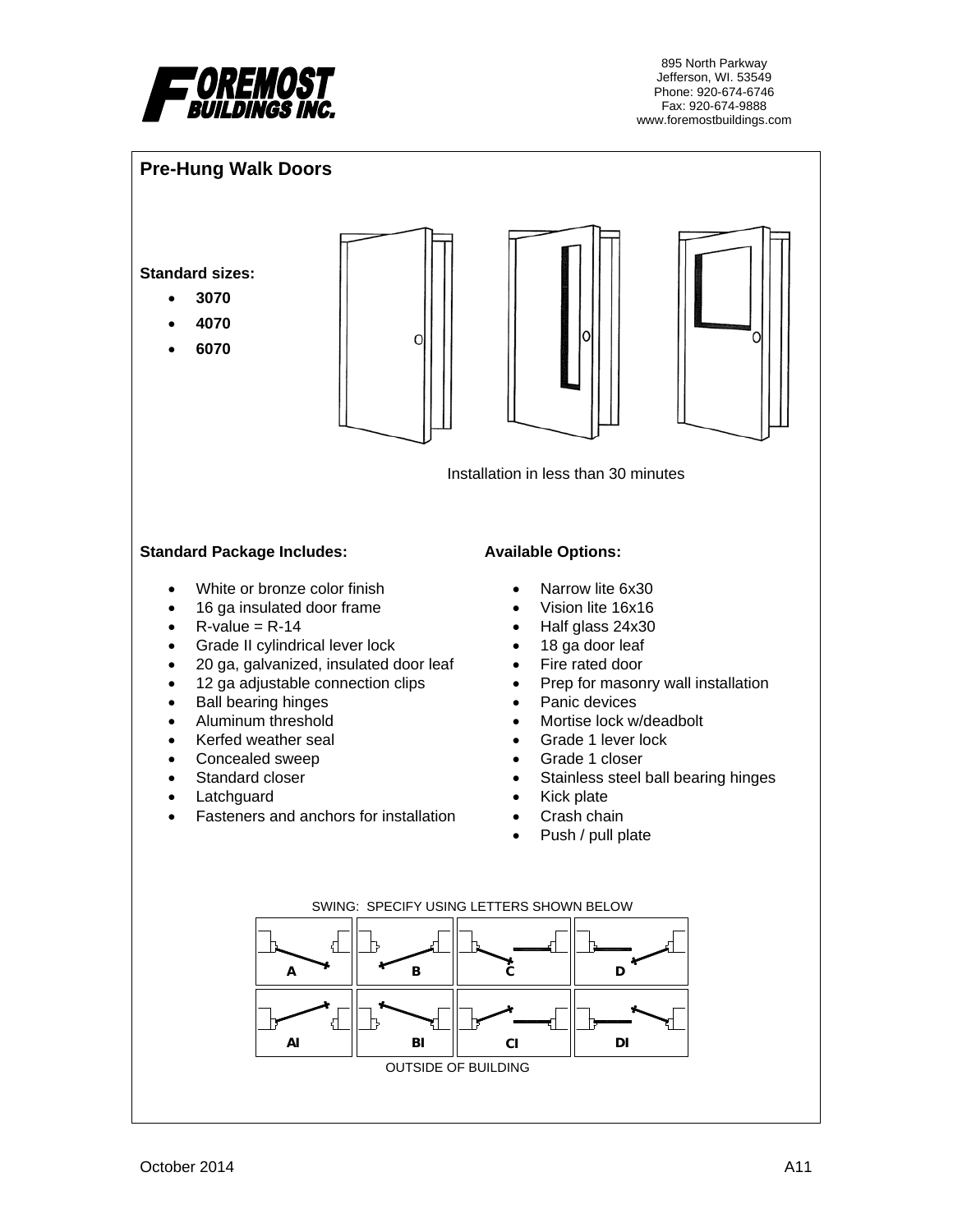